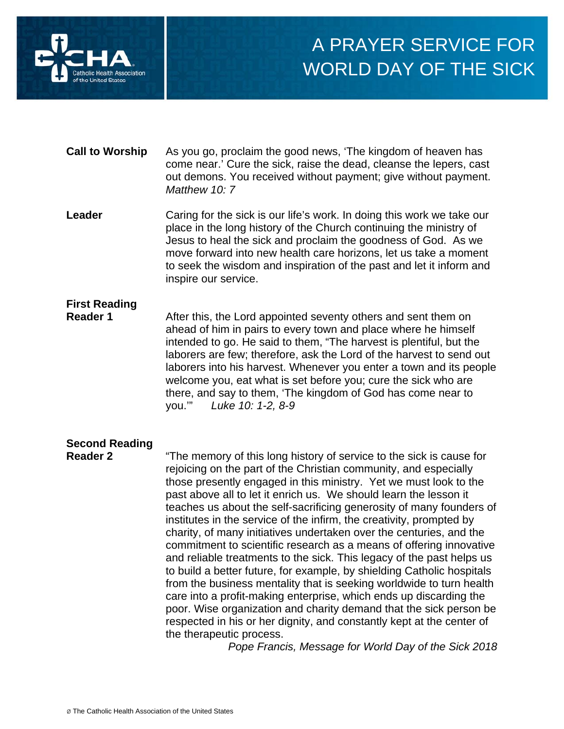

# A PRAYER SERVICE FOR WORLD DAY OF THE SICK

- **Call to Worship** As you go, proclaim the good news, 'The kingdom of heaven has come near.' Cure the sick, raise the dead, cleanse the lepers, cast out demons. You received without payment; give without payment. *Matthew 10: 7*
- **Leader** Caring for the sick is our life's work. In doing this work we take our place in the long history of the Church continuing the ministry of Jesus to heal the sick and proclaim the goodness of God. As we move forward into new health care horizons, let us take a moment to seek the wisdom and inspiration of the past and let it inform and inspire our service.

## **First Reading**

**Reader 1** After this, the Lord appointed seventy others and sent them on ahead of him in pairs to every town and place where he himself intended to go. He said to them, "The harvest is plentiful, but the laborers are few; therefore, ask the Lord of the harvest to send out laborers into his harvest. Whenever you enter a town and its people welcome you, eat what is set before you; cure the sick who are there, and say to them, 'The kingdom of God has come near to you.'" *Luke 10: 1-2, 8-9*

### **Second Reading**

**Reader 2** "The memory of this long history of service to the sick is cause for rejoicing on the part of the Christian community, and especially those presently engaged in this ministry. Yet we must look to the past above all to let it enrich us. We should learn the lesson it teaches us about the self-sacrificing generosity of many founders of institutes in the service of the infirm, the creativity, prompted by charity, of many initiatives undertaken over the centuries, and the commitment to scientific research as a means of offering innovative and reliable treatments to the sick. This legacy of the past helps us to build a better future, for example, by shielding Catholic hospitals from the business mentality that is seeking worldwide to turn health care into a profit-making enterprise, which ends up discarding the poor. Wise organization and charity demand that the sick person be respected in his or her dignity, and constantly kept at the center of the therapeutic process.

*Pope Francis, Message for World Day of the Sick 2018*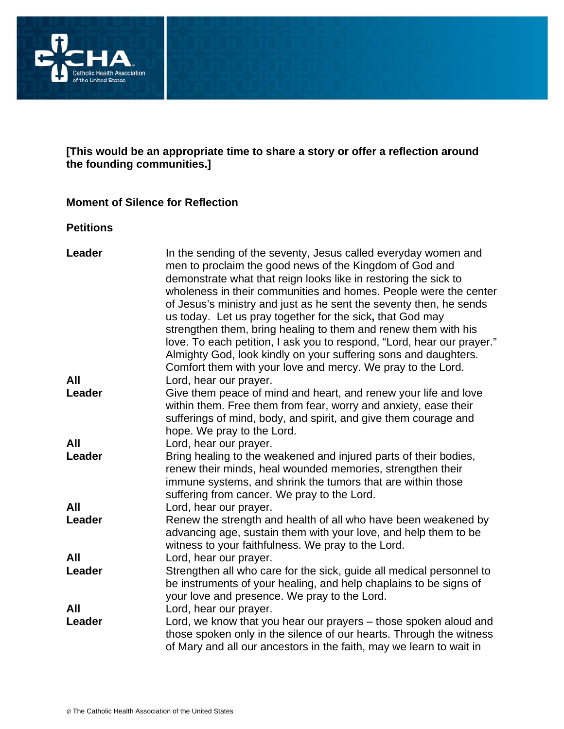

#### **[This would be an appropriate time to share a story or offer a reflection around the founding communities.]**

#### **Moment of Silence for Reflection**

#### **Petitions**

| Leader        | In the sending of the seventy, Jesus called everyday women and<br>men to proclaim the good news of the Kingdom of God and<br>demonstrate what that reign looks like in restoring the sick to<br>wholeness in their communities and homes. People were the center<br>of Jesus's ministry and just as he sent the seventy then, he sends<br>us today. Let us pray together for the sick, that God may<br>strengthen them, bring healing to them and renew them with his<br>love. To each petition, I ask you to respond, "Lord, hear our prayer."<br>Almighty God, look kindly on your suffering sons and daughters.<br>Comfort them with your love and mercy. We pray to the Lord. |
|---------------|-----------------------------------------------------------------------------------------------------------------------------------------------------------------------------------------------------------------------------------------------------------------------------------------------------------------------------------------------------------------------------------------------------------------------------------------------------------------------------------------------------------------------------------------------------------------------------------------------------------------------------------------------------------------------------------|
| All           | Lord, hear our prayer.                                                                                                                                                                                                                                                                                                                                                                                                                                                                                                                                                                                                                                                            |
| Leader        | Give them peace of mind and heart, and renew your life and love<br>within them. Free them from fear, worry and anxiety, ease their<br>sufferings of mind, body, and spirit, and give them courage and<br>hope. We pray to the Lord.                                                                                                                                                                                                                                                                                                                                                                                                                                               |
| All           | Lord, hear our prayer.                                                                                                                                                                                                                                                                                                                                                                                                                                                                                                                                                                                                                                                            |
| Leader        | Bring healing to the weakened and injured parts of their bodies,<br>renew their minds, heal wounded memories, strengthen their<br>immune systems, and shrink the tumors that are within those<br>suffering from cancer. We pray to the Lord.                                                                                                                                                                                                                                                                                                                                                                                                                                      |
| All           | Lord, hear our prayer.                                                                                                                                                                                                                                                                                                                                                                                                                                                                                                                                                                                                                                                            |
| Leader        | Renew the strength and health of all who have been weakened by<br>advancing age, sustain them with your love, and help them to be<br>witness to your faithfulness. We pray to the Lord.                                                                                                                                                                                                                                                                                                                                                                                                                                                                                           |
| All           | Lord, hear our prayer.                                                                                                                                                                                                                                                                                                                                                                                                                                                                                                                                                                                                                                                            |
| Leader        | Strengthen all who care for the sick, guide all medical personnel to<br>be instruments of your healing, and help chaplains to be signs of<br>your love and presence. We pray to the Lord.                                                                                                                                                                                                                                                                                                                                                                                                                                                                                         |
| All<br>Leader | Lord, hear our prayer.<br>Lord, we know that you hear our prayers - those spoken aloud and<br>those spoken only in the silence of our hearts. Through the witness<br>of Mary and all our ancestors in the faith, may we learn to wait in                                                                                                                                                                                                                                                                                                                                                                                                                                          |